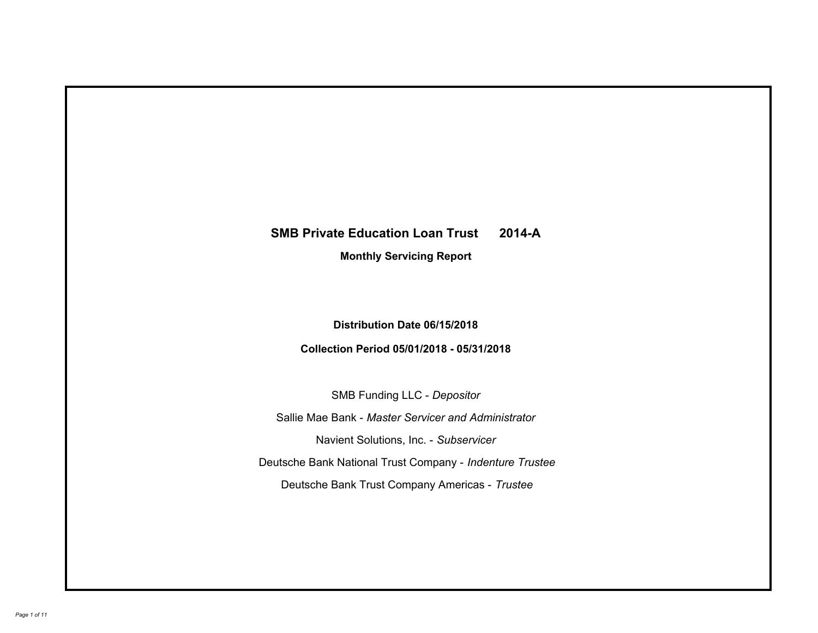# **SMB Private Education Loan Trust 2014-A Monthly Servicing Report**

# **Distribution Date 06/15/2018**

# **Collection Period 05/01/2018 - 05/31/2018**

SMB Funding LLC - *Depositor*

Sallie Mae Bank - *Master Servicer and Administrator*

Navient Solutions, Inc. - *Subservicer*

Deutsche Bank National Trust Company - *Indenture Trustee*

Deutsche Bank Trust Company Americas - *Trustee*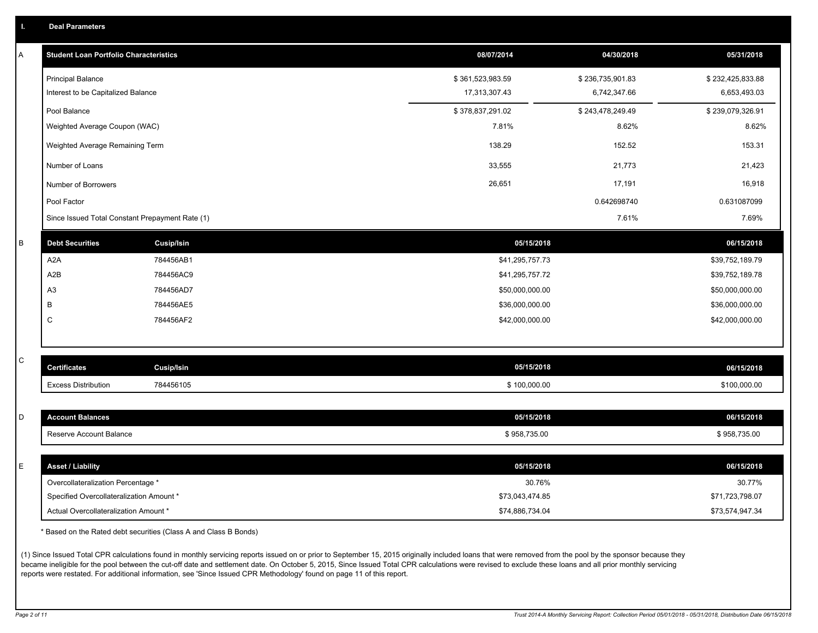|  |  |  |  | <b>Deal Parameters</b> |  |
|--|--|--|--|------------------------|--|
|--|--|--|--|------------------------|--|

| А | <b>Student Loan Portfolio Characteristics</b>   |                   | 08/07/2014       | 04/30/2018       | 05/31/2018       |
|---|-------------------------------------------------|-------------------|------------------|------------------|------------------|
|   | <b>Principal Balance</b>                        |                   | \$361,523,983.59 | \$236,735,901.83 | \$232,425,833.88 |
|   | Interest to be Capitalized Balance              |                   | 17,313,307.43    | 6,742,347.66     | 6,653,493.03     |
|   | Pool Balance                                    |                   | \$378,837,291.02 | \$243,478,249.49 | \$239,079,326.91 |
|   | Weighted Average Coupon (WAC)                   |                   | 7.81%            | 8.62%            | 8.62%            |
|   | Weighted Average Remaining Term                 |                   | 138.29           | 152.52           | 153.31           |
|   | Number of Loans                                 |                   | 33,555           | 21,773           | 21,423           |
|   | Number of Borrowers                             |                   | 26,651           | 17,191           | 16,918           |
|   | Pool Factor                                     |                   |                  | 0.642698740      | 0.631087099      |
|   | Since Issued Total Constant Prepayment Rate (1) |                   |                  | 7.61%            | 7.69%            |
| B | <b>Debt Securities</b>                          | <b>Cusip/Isin</b> |                  | 05/15/2018       | 06/15/2018       |
|   | A2A                                             | 784456AB1         | \$41,295,757.73  |                  | \$39,752,189.79  |
|   | A2B                                             | 784456AC9         | \$41,295,757.72  |                  | \$39,752,189.78  |
|   | A <sub>3</sub>                                  | 784456AD7         | \$50,000,000.00  |                  | \$50,000,000.00  |
|   | B                                               | 784456AE5         | \$36,000,000.00  |                  | \$36,000,000.00  |
|   | C                                               | 784456AF2         | \$42,000,000.00  |                  | \$42,000,000.00  |
|   |                                                 |                   |                  |                  |                  |
| C | <b>Certificates</b>                             | <b>Cusip/Isin</b> |                  | 05/15/2018       | 06/15/2018       |
|   | <b>Excess Distribution</b>                      | 784456105         |                  | \$100,000.00     | \$100,000.00     |
|   |                                                 |                   |                  |                  |                  |
| D | <b>Account Balances</b>                         |                   |                  | 05/15/2018       | 06/15/2018       |
|   | Reserve Account Balance                         |                   | \$958,735.00     |                  | \$958,735.00     |
|   |                                                 |                   |                  |                  |                  |
| E | <b>Asset / Liability</b>                        |                   |                  | 05/15/2018       | 06/15/2018       |
|   | Overcollateralization Percentage *              |                   |                  | 30.76%           | 30.77%           |
|   | Specified Overcollateralization Amount *        |                   | \$73,043,474.85  |                  | \$71,723,798.07  |
|   | Actual Overcollateralization Amount *           |                   | \$74.886.734.04  |                  | \$73,574,947.34  |

\* Based on the Rated debt securities (Class A and Class B Bonds)

(1) Since Issued Total CPR calculations found in monthly servicing reports issued on or prior to September 15, 2015 originally included loans that were removed from the pool by the sponsor because they became ineligible for the pool between the cut-off date and settlement date. On October 5, 2015, Since Issued Total CPR calculations were revised to exclude these loans and all prior monthly servicing reports were restated. For additional information, see 'Since Issued CPR Methodology' found on page 11 of this report.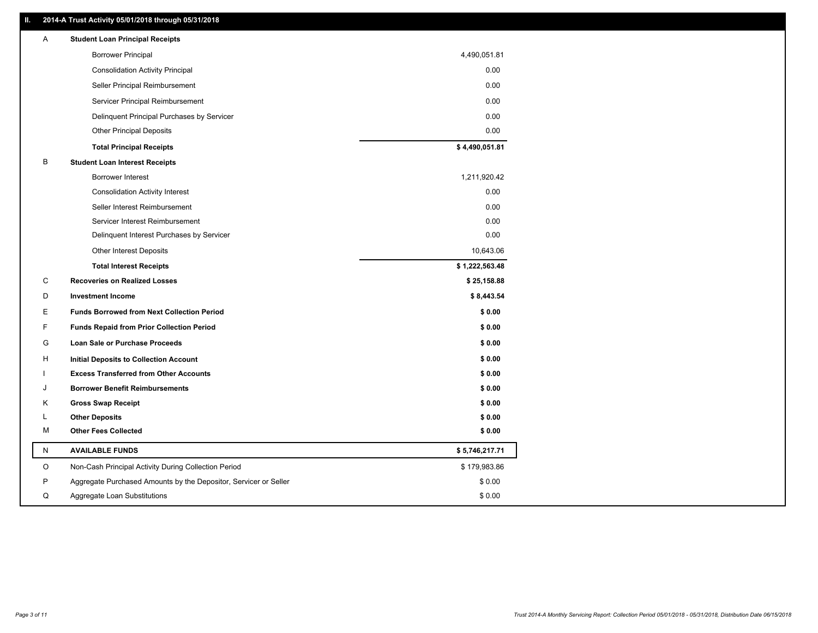### **II. 2014-A Trust Activity 05/01/2018 through 05/31/2018**

| Α | <b>Student Loan Principal Receipts</b>                           |                |
|---|------------------------------------------------------------------|----------------|
|   | <b>Borrower Principal</b>                                        | 4,490,051.81   |
|   | <b>Consolidation Activity Principal</b>                          | 0.00           |
|   | Seller Principal Reimbursement                                   | 0.00           |
|   | Servicer Principal Reimbursement                                 | 0.00           |
|   | Delinquent Principal Purchases by Servicer                       | 0.00           |
|   | <b>Other Principal Deposits</b>                                  | 0.00           |
|   | <b>Total Principal Receipts</b>                                  | \$4,490,051.81 |
| В | <b>Student Loan Interest Receipts</b>                            |                |
|   | Borrower Interest                                                | 1,211,920.42   |
|   | <b>Consolidation Activity Interest</b>                           | 0.00           |
|   | Seller Interest Reimbursement                                    | 0.00           |
|   | Servicer Interest Reimbursement                                  | 0.00           |
|   | Delinquent Interest Purchases by Servicer                        | 0.00           |
|   | <b>Other Interest Deposits</b>                                   | 10,643.06      |
|   | <b>Total Interest Receipts</b>                                   | \$1,222,563.48 |
| C | <b>Recoveries on Realized Losses</b>                             | \$25,158.88    |
| D | <b>Investment Income</b>                                         | \$8,443.54     |
| Е | <b>Funds Borrowed from Next Collection Period</b>                | \$0.00         |
| F | <b>Funds Repaid from Prior Collection Period</b>                 | \$0.00         |
| G | Loan Sale or Purchase Proceeds                                   | \$0.00         |
| н | <b>Initial Deposits to Collection Account</b>                    | \$0.00         |
|   | <b>Excess Transferred from Other Accounts</b>                    | \$0.00         |
| J | <b>Borrower Benefit Reimbursements</b>                           | \$0.00         |
| Κ | <b>Gross Swap Receipt</b>                                        | \$0.00         |
| L | <b>Other Deposits</b>                                            | \$0.00         |
| м | <b>Other Fees Collected</b>                                      | \$0.00         |
| N | <b>AVAILABLE FUNDS</b>                                           | \$5,746,217.71 |
| O | Non-Cash Principal Activity During Collection Period             | \$179,983.86   |
| P | Aggregate Purchased Amounts by the Depositor, Servicer or Seller | \$0.00         |
| Q | Aggregate Loan Substitutions                                     | \$0.00         |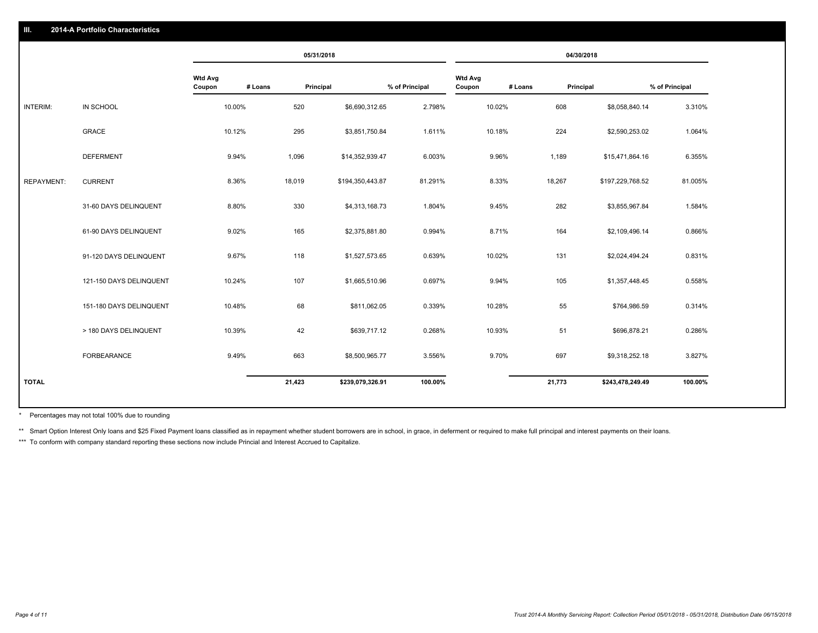### **III. 2014-A Portfolio Characteristics**

|                   |                         |                          | 05/31/2018           |                  |                |                          |         | 04/30/2018 |                  |                |
|-------------------|-------------------------|--------------------------|----------------------|------------------|----------------|--------------------------|---------|------------|------------------|----------------|
|                   |                         | <b>Wtd Avg</b><br>Coupon | # Loans<br>Principal |                  | % of Principal | <b>Wtd Avg</b><br>Coupon | # Loans | Principal  |                  | % of Principal |
| INTERIM:          | IN SCHOOL               | 10.00%                   | 520                  | \$6,690,312.65   | 2.798%         | 10.02%                   |         | 608        | \$8,058,840.14   | 3.310%         |
|                   | <b>GRACE</b>            | 10.12%                   | 295                  | \$3,851,750.84   | 1.611%         | 10.18%                   |         | 224        | \$2,590,253.02   | 1.064%         |
|                   | <b>DEFERMENT</b>        | 9.94%                    | 1,096                | \$14,352,939.47  | 6.003%         | 9.96%                    |         | 1,189      | \$15,471,864.16  | 6.355%         |
| <b>REPAYMENT:</b> | <b>CURRENT</b>          | 8.36%                    | 18,019               | \$194,350,443.87 | 81.291%        | 8.33%                    |         | 18,267     | \$197,229,768.52 | 81.005%        |
|                   | 31-60 DAYS DELINQUENT   | 8.80%                    | 330                  | \$4,313,168.73   | 1.804%         | 9.45%                    |         | 282        | \$3,855,967.84   | 1.584%         |
|                   | 61-90 DAYS DELINQUENT   | 9.02%                    | 165                  | \$2,375,881.80   | 0.994%         | 8.71%                    |         | 164        | \$2,109,496.14   | 0.866%         |
|                   | 91-120 DAYS DELINQUENT  | 9.67%                    | 118                  | \$1,527,573.65   | 0.639%         | 10.02%                   |         | 131        | \$2,024,494.24   | 0.831%         |
|                   | 121-150 DAYS DELINQUENT | 10.24%                   | 107                  | \$1,665,510.96   | 0.697%         | 9.94%                    |         | 105        | \$1,357,448.45   | 0.558%         |
|                   | 151-180 DAYS DELINQUENT | 10.48%                   | 68                   | \$811,062.05     | 0.339%         | 10.28%                   |         | 55         | \$764,986.59     | 0.314%         |
|                   | > 180 DAYS DELINQUENT   | 10.39%                   | 42                   | \$639,717.12     | 0.268%         | 10.93%                   |         | 51         | \$696,878.21     | 0.286%         |
|                   | FORBEARANCE             | 9.49%                    | 663                  | \$8,500,965.77   | 3.556%         | 9.70%                    |         | 697        | \$9,318,252.18   | 3.827%         |
| <b>TOTAL</b>      |                         |                          | 21,423               | \$239,079,326.91 | 100.00%        |                          |         | 21,773     | \$243,478,249.49 | 100.00%        |

Percentages may not total 100% due to rounding \*

\*\* Smart Option Interest Only loans and \$25 Fixed Payment loans classified as in repayment whether student borrowers are in school, in grace, in deferment or required to make full principal and interest payments on their l

\*\*\* To conform with company standard reporting these sections now include Princial and Interest Accrued to Capitalize.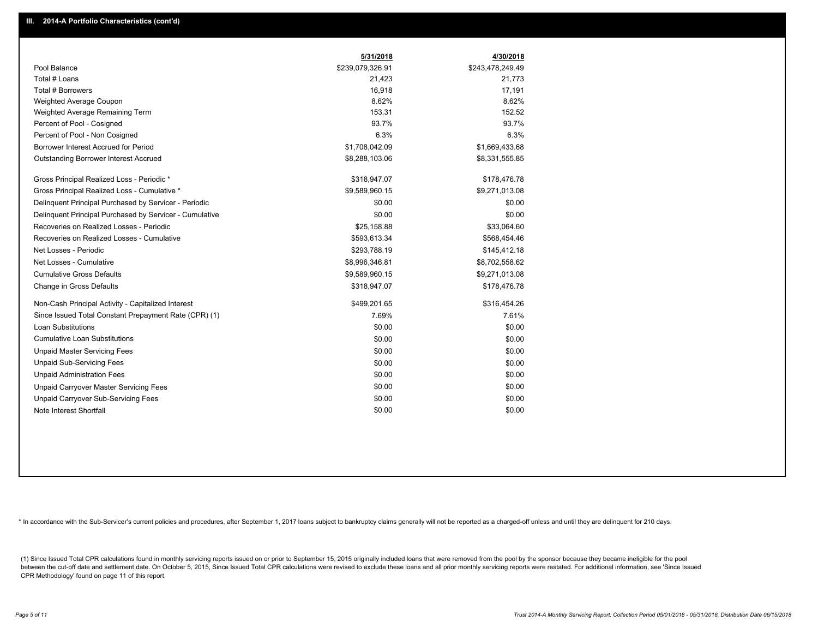|                                                         | 5/31/2018        | 4/30/2018        |
|---------------------------------------------------------|------------------|------------------|
| Pool Balance                                            | \$239,079,326.91 | \$243,478,249.49 |
| Total # Loans                                           | 21,423           | 21,773           |
| Total # Borrowers                                       | 16,918           | 17,191           |
| Weighted Average Coupon                                 | 8.62%            | 8.62%            |
| Weighted Average Remaining Term                         | 153.31           | 152.52           |
| Percent of Pool - Cosigned                              | 93.7%            | 93.7%            |
| Percent of Pool - Non Cosigned                          | 6.3%             | 6.3%             |
| Borrower Interest Accrued for Period                    | \$1,708,042.09   | \$1,669,433.68   |
| Outstanding Borrower Interest Accrued                   | \$8,288,103.06   | \$8,331,555.85   |
| Gross Principal Realized Loss - Periodic *              | \$318,947.07     | \$178,476.78     |
| Gross Principal Realized Loss - Cumulative *            | \$9,589,960.15   | \$9,271,013.08   |
| Delinquent Principal Purchased by Servicer - Periodic   | \$0.00           | \$0.00           |
| Delinquent Principal Purchased by Servicer - Cumulative | \$0.00           | \$0.00           |
| Recoveries on Realized Losses - Periodic                | \$25,158.88      | \$33,064.60      |
| Recoveries on Realized Losses - Cumulative              | \$593,613.34     | \$568,454.46     |
| Net Losses - Periodic                                   | \$293,788.19     | \$145,412.18     |
| Net Losses - Cumulative                                 | \$8,996,346.81   | \$8,702,558.62   |
| <b>Cumulative Gross Defaults</b>                        | \$9,589,960.15   | \$9,271,013.08   |
| Change in Gross Defaults                                | \$318,947.07     | \$178,476.78     |
| Non-Cash Principal Activity - Capitalized Interest      | \$499,201.65     | \$316,454.26     |
| Since Issued Total Constant Prepayment Rate (CPR) (1)   | 7.69%            | 7.61%            |
| <b>Loan Substitutions</b>                               | \$0.00           | \$0.00           |
| <b>Cumulative Loan Substitutions</b>                    | \$0.00           | \$0.00           |
| <b>Unpaid Master Servicing Fees</b>                     | \$0.00           | \$0.00           |
| <b>Unpaid Sub-Servicing Fees</b>                        | \$0.00           | \$0.00           |
| <b>Unpaid Administration Fees</b>                       | \$0.00           | \$0.00           |
| Unpaid Carryover Master Servicing Fees                  | \$0.00           | \$0.00           |
| <b>Unpaid Carryover Sub-Servicing Fees</b>              | \$0.00           | \$0.00           |
| Note Interest Shortfall                                 | \$0.00           | \$0.00           |

\* In accordance with the Sub-Servicer's current policies and procedures, after September 1, 2017 loans subject to bankruptcy claims generally will not be reported as a charged-off unless and until they are delinquent for 2

(1) Since Issued Total CPR calculations found in monthly servicing reports issued on or prior to September 15, 2015 originally included loans that were removed from the pool by the sponsor because they became ineligible fo between the cut-off date and settlement date. On October 5, 2015, Since Issued Total CPR calculations were revised to exclude these loans and all prior monthly servicing reports were restated. For additional information, s CPR Methodology' found on page 11 of this report.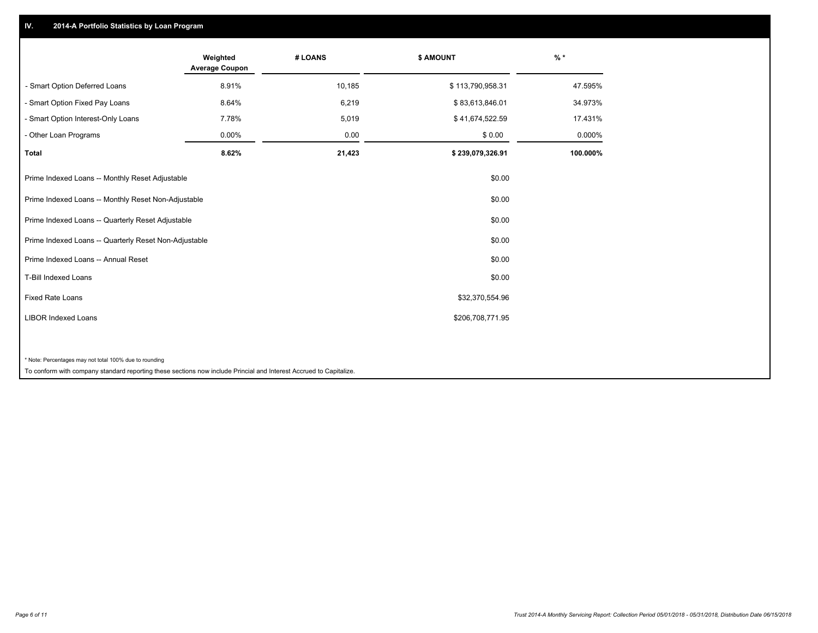## **IV. 2014-A Portfolio Statistics by Loan Program**

|                                                                                                                    | Weighted<br><b>Average Coupon</b> | # LOANS | <b>\$ AMOUNT</b> | $\frac{9}{6}$ * |
|--------------------------------------------------------------------------------------------------------------------|-----------------------------------|---------|------------------|-----------------|
| - Smart Option Deferred Loans                                                                                      | 8.91%                             | 10,185  | \$113,790,958.31 | 47.595%         |
| - Smart Option Fixed Pay Loans                                                                                     | 8.64%                             | 6,219   | \$83,613,846.01  | 34.973%         |
| - Smart Option Interest-Only Loans                                                                                 | 7.78%                             | 5,019   | \$41,674,522.59  | 17.431%         |
| Other Loan Programs                                                                                                | $0.00\%$                          | 0.00    | \$0.00           | 0.000%          |
| <b>Total</b>                                                                                                       | 8.62%                             | 21,423  | \$239,079,326.91 | 100.000%        |
| Prime Indexed Loans -- Monthly Reset Adjustable                                                                    |                                   |         | \$0.00           |                 |
| Prime Indexed Loans -- Monthly Reset Non-Adjustable                                                                |                                   |         | \$0.00           |                 |
| Prime Indexed Loans -- Quarterly Reset Adjustable                                                                  |                                   |         | \$0.00           |                 |
| Prime Indexed Loans -- Quarterly Reset Non-Adjustable                                                              |                                   |         | \$0.00           |                 |
| Prime Indexed Loans -- Annual Reset                                                                                |                                   |         | \$0.00           |                 |
| <b>T-Bill Indexed Loans</b>                                                                                        |                                   |         | \$0.00           |                 |
| <b>Fixed Rate Loans</b>                                                                                            |                                   |         | \$32,370,554.96  |                 |
| <b>LIBOR Indexed Loans</b>                                                                                         |                                   |         | \$206,708,771.95 |                 |
| * Note: Percentages may not total 100% due to rounding                                                             |                                   |         |                  |                 |
| To conform with company standard reporting these sections now include Princial and Interest Accrued to Capitalize. |                                   |         |                  |                 |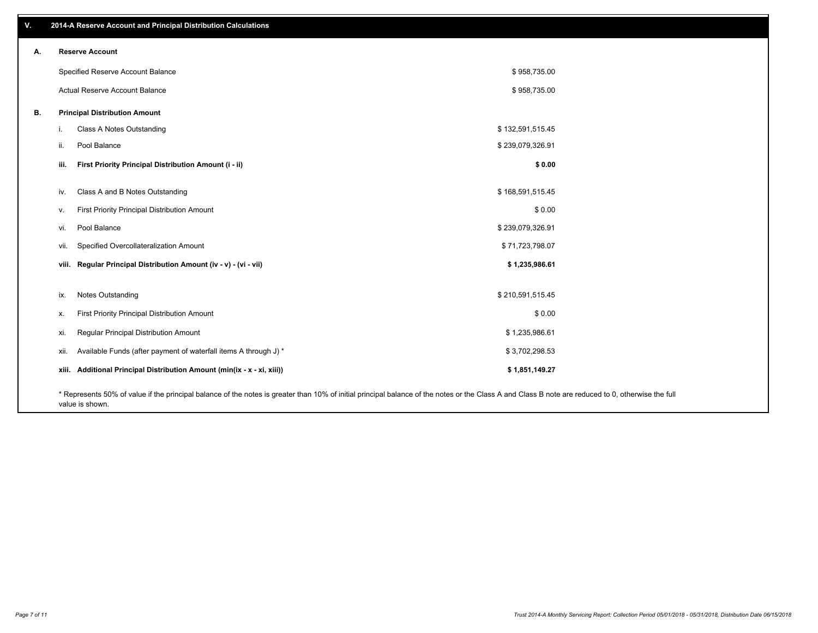| v. |      | 2014-A Reserve Account and Principal Distribution Calculations                                                                                                                                     |                  |  |
|----|------|----------------------------------------------------------------------------------------------------------------------------------------------------------------------------------------------------|------------------|--|
| А. |      | <b>Reserve Account</b>                                                                                                                                                                             |                  |  |
|    |      | Specified Reserve Account Balance                                                                                                                                                                  | \$958,735.00     |  |
|    |      | Actual Reserve Account Balance                                                                                                                                                                     | \$958,735.00     |  |
| В. |      | <b>Principal Distribution Amount</b>                                                                                                                                                               |                  |  |
|    | i.   | Class A Notes Outstanding                                                                                                                                                                          | \$132,591,515.45 |  |
|    | ii.  | Pool Balance                                                                                                                                                                                       | \$239,079,326.91 |  |
|    | iii. | First Priority Principal Distribution Amount (i - ii)                                                                                                                                              | \$0.00           |  |
|    | iv.  | Class A and B Notes Outstanding                                                                                                                                                                    | \$168,591,515.45 |  |
|    | V.   | First Priority Principal Distribution Amount                                                                                                                                                       | \$0.00           |  |
|    | vi.  | Pool Balance                                                                                                                                                                                       | \$239,079,326.91 |  |
|    | vii. | Specified Overcollateralization Amount                                                                                                                                                             | \$71,723,798.07  |  |
|    |      | viii. Regular Principal Distribution Amount (iv - v) - (vi - vii)                                                                                                                                  | \$1,235,986.61   |  |
|    |      |                                                                                                                                                                                                    |                  |  |
|    | ix.  | <b>Notes Outstanding</b>                                                                                                                                                                           | \$210,591,515.45 |  |
|    | х.   | First Priority Principal Distribution Amount                                                                                                                                                       | \$0.00           |  |
|    | xi.  | Regular Principal Distribution Amount                                                                                                                                                              | \$1,235,986.61   |  |
|    | xii. | Available Funds (after payment of waterfall items A through J) *                                                                                                                                   | \$3,702,298.53   |  |
|    |      | xiii. Additional Principal Distribution Amount (min(ix - x - xi, xiii))                                                                                                                            | \$1,851,149.27   |  |
|    |      | * Represents 50% of value if the principal balance of the notes is greater than 10% of initial principal balance of the notes or the Class A and Class B note are reduced to 0, otherwise the full |                  |  |

value is shown.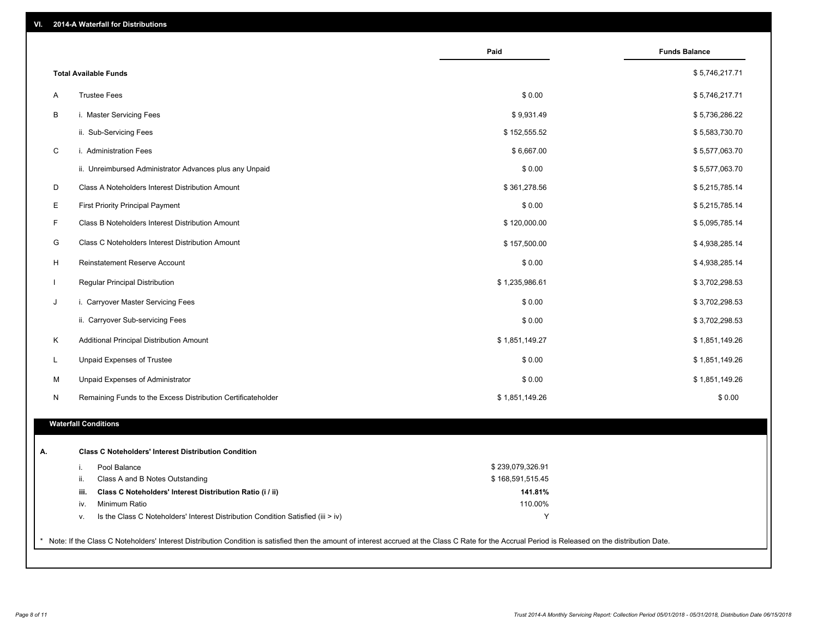| VI.<br><b>2014-A Waterfall for Distributions</b> |  |
|--------------------------------------------------|--|
|--------------------------------------------------|--|

|                                                                                        | Paid             | <b>Funds Balance</b> |
|----------------------------------------------------------------------------------------|------------------|----------------------|
| <b>Total Available Funds</b>                                                           |                  | \$5,746,217.71       |
| <b>Trustee Fees</b><br>Α                                                               | \$0.00           | \$5,746,217.71       |
| B<br>i. Master Servicing Fees                                                          | \$9,931.49       | \$5,736,286.22       |
| ii. Sub-Servicing Fees                                                                 | \$152,555.52     | \$5,583,730.70       |
| $\mathsf C$<br>i. Administration Fees                                                  | \$6,667.00       | \$5,577,063.70       |
| ii. Unreimbursed Administrator Advances plus any Unpaid                                | \$0.00           | \$5,577,063.70       |
| D<br>Class A Noteholders Interest Distribution Amount                                  | \$361,278.56     | \$5,215,785.14       |
| Ε<br><b>First Priority Principal Payment</b>                                           | \$0.00           | \$5,215,785.14       |
| F<br>Class B Noteholders Interest Distribution Amount                                  | \$120,000.00     | \$5,095,785.14       |
| G<br>Class C Noteholders Interest Distribution Amount                                  | \$157,500.00     | \$4,938,285.14       |
| H<br>Reinstatement Reserve Account                                                     | \$0.00           | \$4,938,285.14       |
| $\mathbf{I}$<br>Regular Principal Distribution                                         | \$1,235,986.61   | \$3,702,298.53       |
| J<br>i. Carryover Master Servicing Fees                                                | \$0.00           | \$3,702,298.53       |
| ii. Carryover Sub-servicing Fees                                                       | \$0.00           | \$3,702,298.53       |
| Κ<br>Additional Principal Distribution Amount                                          | \$1,851,149.27   | \$1,851,149.26       |
| L.<br>Unpaid Expenses of Trustee                                                       | \$0.00           | \$1,851,149.26       |
| M<br>Unpaid Expenses of Administrator                                                  | \$0.00           | \$1,851,149.26       |
| N<br>Remaining Funds to the Excess Distribution Certificateholder                      | \$1,851,149.26   | \$0.00               |
| <b>Waterfall Conditions</b>                                                            |                  |                      |
| <b>Class C Noteholders' Interest Distribution Condition</b>                            |                  |                      |
| Pool Balance<br>i.                                                                     | \$239,079,326.91 |                      |
| ii.<br>Class A and B Notes Outstanding                                                 | \$168,591,515.45 |                      |
| Class C Noteholders' Interest Distribution Ratio (i / ii)<br>iii.                      | 141.81%          |                      |
| Minimum Ratio<br>iv.                                                                   | 110.00%          |                      |
| Is the Class C Noteholders' Interest Distribution Condition Satisfied (iii > iv)<br>v. | Y                |                      |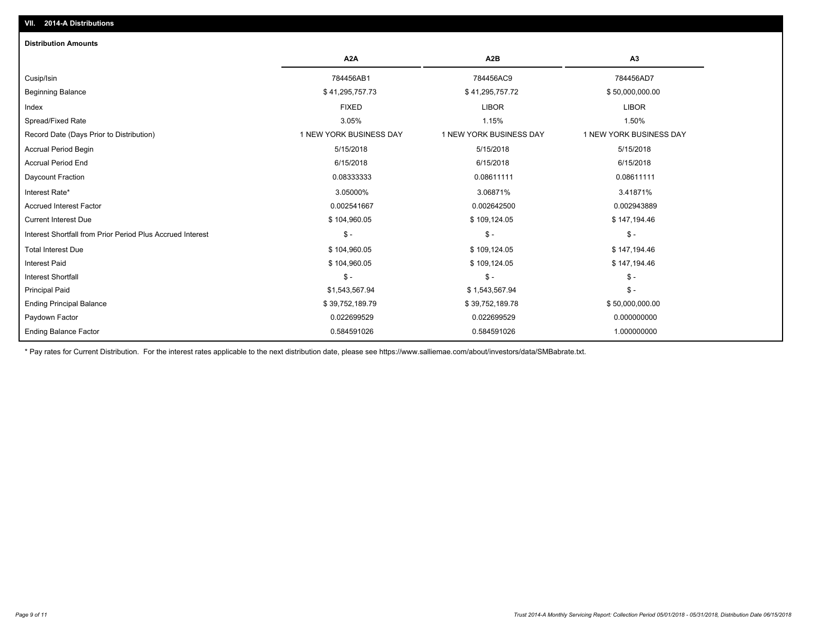| <b>Distribution Amounts</b>                                |                         |                         |                         |
|------------------------------------------------------------|-------------------------|-------------------------|-------------------------|
|                                                            | A <sub>2</sub> A        | A <sub>2</sub> B        | A <sub>3</sub>          |
| Cusip/Isin                                                 | 784456AB1               | 784456AC9               | 784456AD7               |
| <b>Beginning Balance</b>                                   | \$41,295,757.73         | \$41,295,757.72         | \$50,000,000.00         |
| Index                                                      | <b>FIXED</b>            | <b>LIBOR</b>            | <b>LIBOR</b>            |
| Spread/Fixed Rate                                          | 3.05%                   | 1.15%                   | 1.50%                   |
| Record Date (Days Prior to Distribution)                   | 1 NEW YORK BUSINESS DAY | 1 NEW YORK BUSINESS DAY | 1 NEW YORK BUSINESS DAY |
| <b>Accrual Period Begin</b>                                | 5/15/2018               | 5/15/2018               | 5/15/2018               |
| <b>Accrual Period End</b>                                  | 6/15/2018               | 6/15/2018               | 6/15/2018               |
| Daycount Fraction                                          | 0.08333333              | 0.08611111              | 0.08611111              |
| Interest Rate*                                             | 3.05000%                | 3.06871%                | 3.41871%                |
| <b>Accrued Interest Factor</b>                             | 0.002541667             | 0.002642500             | 0.002943889             |
| <b>Current Interest Due</b>                                | \$104,960.05            | \$109,124.05            | \$147,194.46            |
| Interest Shortfall from Prior Period Plus Accrued Interest | $\mathsf{\$}$ -         | $\mathsf{\$}$ -         | $\mathcal{S}$ -         |
| <b>Total Interest Due</b>                                  | \$104,960.05            | \$109,124.05            | \$147,194.46            |
| Interest Paid                                              | \$104,960.05            | \$109,124.05            | \$147,194.46            |
| <b>Interest Shortfall</b>                                  | $\mathsf{\$}$ -         | $\mathcal{S}$ -         | $\mathcal{S}$ -         |
| <b>Principal Paid</b>                                      | \$1,543,567.94          | \$1,543,567.94          | $\mathcal{S}$ -         |
| <b>Ending Principal Balance</b>                            | \$39,752,189.79         | \$39,752,189.78         | \$50,000,000.00         |
| Paydown Factor                                             | 0.022699529             | 0.022699529             | 0.000000000             |
| <b>Ending Balance Factor</b>                               | 0.584591026             | 0.584591026             | 1.000000000             |

\* Pay rates for Current Distribution. For the interest rates applicable to the next distribution date, please see https://www.salliemae.com/about/investors/data/SMBabrate.txt.

**VII. 2014-A Distributions**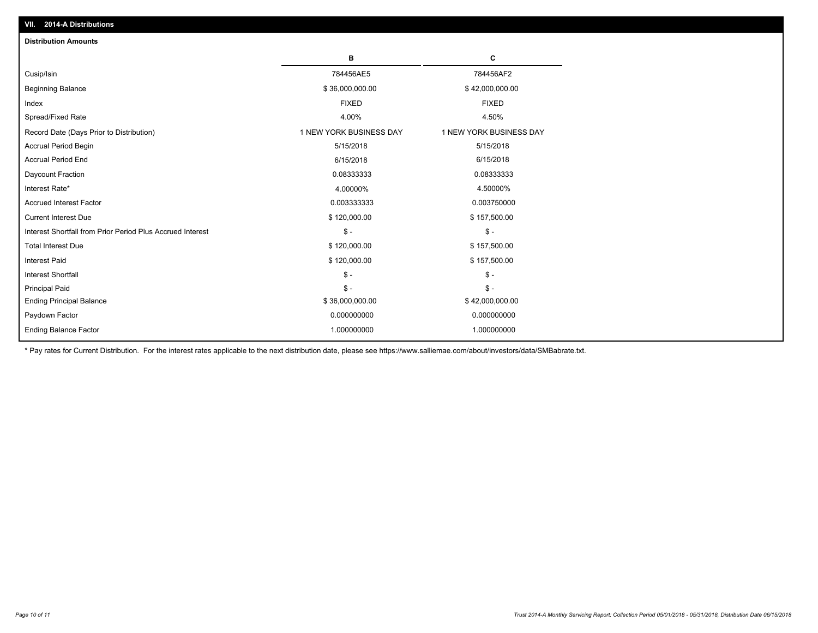| VII. 2014-A Distributions                                  |                         |                         |
|------------------------------------------------------------|-------------------------|-------------------------|
| <b>Distribution Amounts</b>                                |                         |                         |
|                                                            | в                       | c                       |
| Cusip/Isin                                                 | 784456AE5               | 784456AF2               |
| <b>Beginning Balance</b>                                   | \$36,000,000.00         | \$42,000,000.00         |
| Index                                                      | <b>FIXED</b>            | <b>FIXED</b>            |
| Spread/Fixed Rate                                          | 4.00%                   | 4.50%                   |
| Record Date (Days Prior to Distribution)                   | 1 NEW YORK BUSINESS DAY | 1 NEW YORK BUSINESS DAY |
| Accrual Period Begin                                       | 5/15/2018               | 5/15/2018               |
| <b>Accrual Period End</b>                                  | 6/15/2018               | 6/15/2018               |
| Daycount Fraction                                          | 0.08333333              | 0.08333333              |
| Interest Rate*                                             | 4.00000%                | 4.50000%                |
| <b>Accrued Interest Factor</b>                             | 0.003333333             | 0.003750000             |
| <b>Current Interest Due</b>                                | \$120,000.00            | \$157,500.00            |
| Interest Shortfall from Prior Period Plus Accrued Interest | $\mathsf{\$}$ -         | $\mathsf{\$}$ -         |
| <b>Total Interest Due</b>                                  | \$120,000.00            | \$157,500.00            |
| <b>Interest Paid</b>                                       | \$120,000.00            | \$157,500.00            |
| <b>Interest Shortfall</b>                                  | $\mathsf{\$}$ -         | $\mathcal{S}$ -         |
| <b>Principal Paid</b>                                      | $S -$                   | $S -$                   |
| <b>Ending Principal Balance</b>                            | \$36,000,000.00         | \$42,000,000.00         |
| Paydown Factor                                             | 0.000000000             | 0.000000000             |
| <b>Ending Balance Factor</b>                               | 1.000000000             | 1.000000000             |

\* Pay rates for Current Distribution. For the interest rates applicable to the next distribution date, please see https://www.salliemae.com/about/investors/data/SMBabrate.txt.